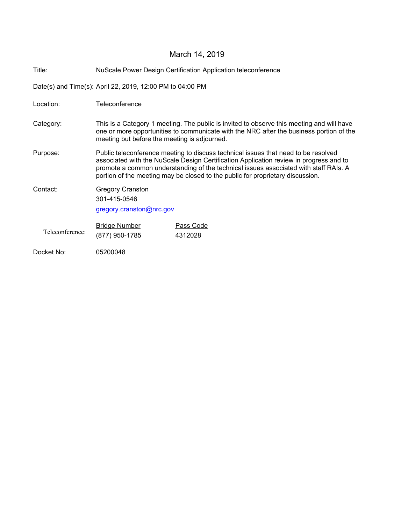# March 14, 2019

Title: NuScale Power Design Certification Application teleconference

Date(s) and Time(s): April 22, 2019, 12:00 PM to 04:00 PM

| Location:       | Teleconference                                                                                                                                                                                                                                                                                                                                         |                      |
|-----------------|--------------------------------------------------------------------------------------------------------------------------------------------------------------------------------------------------------------------------------------------------------------------------------------------------------------------------------------------------------|----------------------|
| Category:       | This is a Category 1 meeting. The public is invited to observe this meeting and will have<br>one or more opportunities to communicate with the NRC after the business portion of the<br>meeting but before the meeting is adjourned.                                                                                                                   |                      |
| Purpose:        | Public teleconference meeting to discuss technical issues that need to be resolved<br>associated with the NuScale Design Certification Application review in progress and to<br>promote a common understanding of the technical issues associated with staff RAIs. A<br>portion of the meeting may be closed to the public for proprietary discussion. |                      |
| Contact:        | <b>Gregory Cranston</b><br>301-415-0546<br>gregory.cranston@nrc.gov                                                                                                                                                                                                                                                                                    |                      |
| Teleconference: | <b>Bridge Number</b><br>(877) 950-1785                                                                                                                                                                                                                                                                                                                 | Pass Code<br>4312028 |
| Docket No:      | 05200048                                                                                                                                                                                                                                                                                                                                               |                      |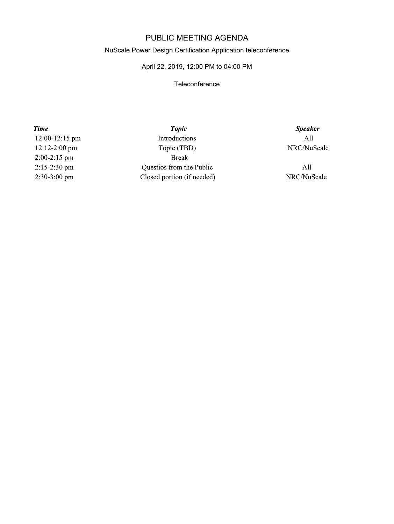## PUBLIC MEETING AGENDA

#### NuScale Power Design Certification Application teleconference

### April 22, 2019, 12:00 PM to 04:00 PM

#### **Teleconference**

**Time** 12:00-12:15 pm 12:12-2:00 pm  $2:00-2:15$  pm 2:15-2:30 pm 2:30-3:00 pm

**Topic** Introductions Topic (TBD) **Break** Questios from the Public Closed portion (if needed)

**Speaker**  $All$ NRC/NuScale

 $All$ NRC/NuScale